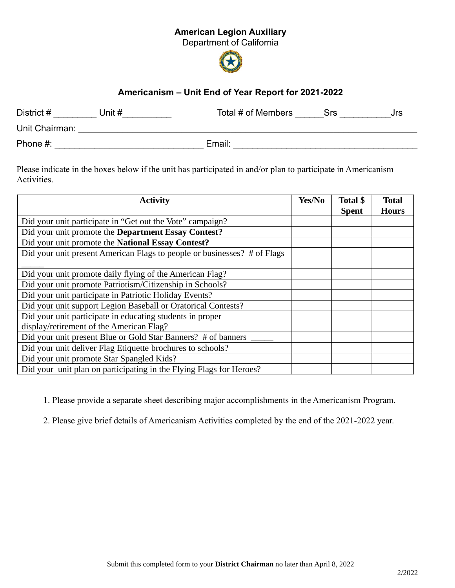## American Legion Auxiliary

Department of California



## Americanism – Unit End of Year Report for 2021-2022

| District #     | Unit # | Total # of Members | Srs | Jrs |
|----------------|--------|--------------------|-----|-----|
| Unit Chairman: |        |                    |     |     |
| Phone #:       |        | Email:             |     |     |

Please indicate in the boxes below if the unit has participated in and/or plan to participate in Americanism Activities.

| <b>Activity</b>                                                          | Yes/No | <b>Total \$</b><br><b>Spent</b> | <b>Total</b><br><b>Hours</b> |
|--------------------------------------------------------------------------|--------|---------------------------------|------------------------------|
| Did your unit participate in "Get out the Vote" campaign?                |        |                                 |                              |
| Did your unit promote the Department Essay Contest?                      |        |                                 |                              |
| Did your unit promote the National Essay Contest?                        |        |                                 |                              |
| Did your unit present American Flags to people or businesses? # of Flags |        |                                 |                              |
|                                                                          |        |                                 |                              |
| Did your unit promote daily flying of the American Flag?                 |        |                                 |                              |
| Did your unit promote Patriotism/Citizenship in Schools?                 |        |                                 |                              |
| Did your unit participate in Patriotic Holiday Events?                   |        |                                 |                              |
| Did your unit support Legion Baseball or Oratorical Contests?            |        |                                 |                              |
| Did your unit participate in educating students in proper                |        |                                 |                              |
| display/retirement of the American Flag?                                 |        |                                 |                              |
| Did your unit present Blue or Gold Star Banners? # of banners            |        |                                 |                              |
| Did your unit deliver Flag Etiquette brochures to schools?               |        |                                 |                              |
| Did your unit promote Star Spangled Kids?                                |        |                                 |                              |
| Did your unit plan on participating in the Flying Flags for Heroes?      |        |                                 |                              |

1. Please provide a separate sheet describing major accomplishments in the Americanism Program.

2. Please give brief details of Americanism Activities completed by the end of the 2021-2022 year.